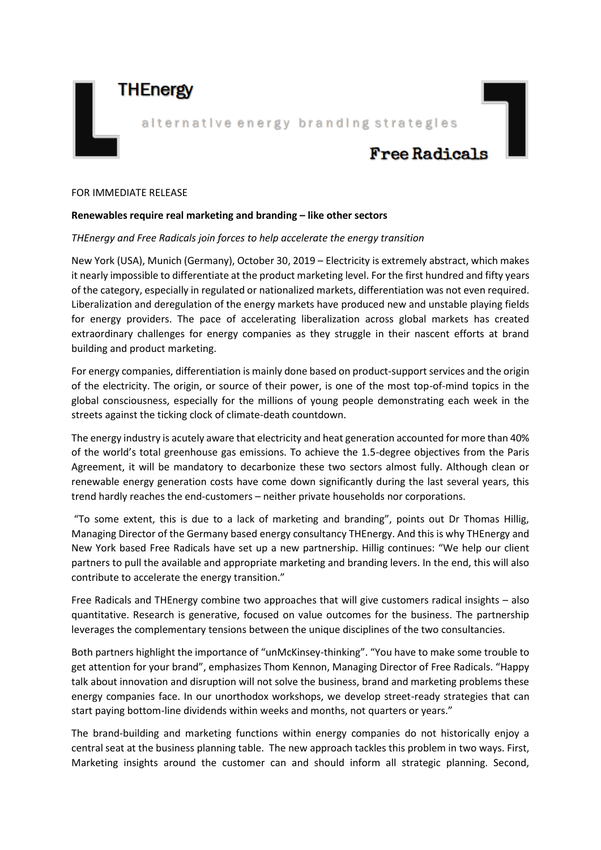## **THEnergy**

alternative energy branding strategies

# **Free Radicals**

#### FOR IMMEDIATE RELEASE

#### **Renewables require real marketing and branding – like other sectors**

#### *THEnergy and Free Radicals join forces to help accelerate the energy transition*

New York (USA), Munich (Germany), October 30, 2019 – Electricity is extremely abstract, which makes it nearly impossible to differentiate at the product marketing level. For the first hundred and fifty years of the category, especially in regulated or nationalized markets, differentiation was not even required. Liberalization and deregulation of the energy markets have produced new and unstable playing fields for energy providers. The pace of accelerating liberalization across global markets has created extraordinary challenges for energy companies as they struggle in their nascent efforts at brand building and product marketing.

For energy companies, differentiation is mainly done based on product-support services and the origin of the electricity. The origin, or source of their power, is one of the most top-of-mind topics in the global consciousness, especially for the millions of young people demonstrating each week in the streets against the ticking clock of climate-death countdown.

The energy industry is acutely aware that electricity and heat generation accounted for more than 40% of the world's total greenhouse gas emissions. To achieve the 1.5-degree objectives from the Paris Agreement, it will be mandatory to decarbonize these two sectors almost fully. Although clean or renewable energy generation costs have come down significantly during the last several years, this trend hardly reaches the end-customers – neither private households nor corporations.

"To some extent, this is due to a lack of marketing and branding", points out Dr Thomas Hillig, Managing Director of the Germany based energy consultancy THEnergy. And this is why THEnergy and New York based Free Radicals have set up a new partnership. Hillig continues: "We help our client partners to pull the available and appropriate marketing and branding levers. In the end, this will also contribute to accelerate the energy transition."

Free Radicals and THEnergy combine two approaches that will give customers radical insights – also quantitative. Research is generative, focused on value outcomes for the business. The partnership leverages the complementary tensions between the unique disciplines of the two consultancies.

Both partners highlight the importance of "unMcKinsey-thinking". "You have to make some trouble to get attention for your brand", emphasizes Thom Kennon, Managing Director of Free Radicals. "Happy talk about innovation and disruption will not solve the business, brand and marketing problems these energy companies face. In our unorthodox workshops, we develop street-ready strategies that can start paying bottom-line dividends within weeks and months, not quarters or years."

The brand-building and marketing functions within energy companies do not historically enjoy a central seat at the business planning table. The new approach tackles this problem in two ways. First, Marketing insights around the customer can and should inform all strategic planning. Second,